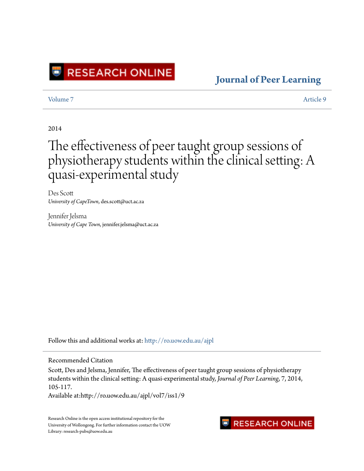

### **[Journal of Peer Learning](http://ro.uow.edu.au/ajpl?utm_source=ro.uow.edu.au%2Fajpl%2Fvol7%2Fiss1%2F9&utm_medium=PDF&utm_campaign=PDFCoverPages)**

[Volume 7](http://ro.uow.edu.au/ajpl/vol7?utm_source=ro.uow.edu.au%2Fajpl%2Fvol7%2Fiss1%2F9&utm_medium=PDF&utm_campaign=PDFCoverPages) [Article 9](http://ro.uow.edu.au/ajpl/vol7/iss1/9?utm_source=ro.uow.edu.au%2Fajpl%2Fvol7%2Fiss1%2F9&utm_medium=PDF&utm_campaign=PDFCoverPages)

2014

# The effectiveness of peer taught group sessions of physiotherapy students within the clinical setting: A quasi-experimental study

Des Scott *University of CapeTown*, des.scott@uct.ac.za

Jennifer Jelsma *University of Cape Town*, jennifer.jelsma@uct.ac.za

Follow this and additional works at: [http://ro.uow.edu.au/ajpl](http://ro.uow.edu.au/ajpl?utm_source=ro.uow.edu.au%2Fajpl%2Fvol7%2Fiss1%2F9&utm_medium=PDF&utm_campaign=PDFCoverPages)

### Recommended Citation

Scott, Des and Jelsma, Jennifer, The effectiveness of peer taught group sessions of physiotherapy students within the clinical setting: A quasi-experimental study, *Journal of Peer Learning*, 7, 2014, 105-117.

Available at:http://ro.uow.edu.au/ajpl/vol7/iss1/9

Research Online is the open access institutional repository for the University of Wollongong. For further information contact the UOW Library: research-pubs@uow.edu.au

**RESEARCH ONLINE**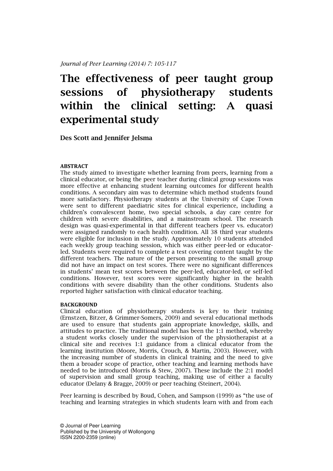Journal of Peer Learning (2014) 7: 105-117

## The effectiveness of peer taught group sessions of physiotherapy students within the clinical setting: A quasi experimental study

Des Scott and Jennifer Jelsma

#### ABSTRACT

The study aimed to investigate whether learning from peers, learning from a clinical educator, or being the peer teacher during clinical group sessions was more effective at enhancing student learning outcomes for different health conditions. A secondary aim was to determine which method students found more satisfactory. Physiotherapy students at the University of Cape Town were sent to different paediatric sites for clinical experience, including a children's convalescent home, two special schools, a day care centre for children with severe disabilities, and a mainstream school. The research design was quasi-experimental in that different teachers (peer vs. educator) were assigned randomly to each health condition. All 38 third year students were eligible for inclusion in the study. Approximately 10 students attended each weekly group teaching session, which was either peer-led or educatorled. Students were required to complete a test covering content taught by the different teachers. The nature of the person presenting to the small group did not have an impact on test scores. There were no significant differences in students' mean test scores between the peer-led, educator-led, or self-led conditions. However, test scores were significantly higher in the health conditions with severe disability than the other conditions. Students also reported higher satisfaction with clinical educator teaching.

#### BACKGROUND

Clinical education of physiotherapy students is key to their training (Ernstzen, Bitzer, & Grimmer-Somers, 2009) and several educational methods are used to ensure that students gain appropriate knowledge, skills, and attitudes to practice. The traditional model has been the 1:1 method, whereby a student works closely under the supervision of the physiotherapist at a clinical site and receives 1:1 guidance from a clinical educator from the learning institution (Moore, Morris, Crouch, & Martin, 2003). However, with the increasing number of students in clinical training and the need to give them a broader scope of practice, other teaching and learning methods have needed to be introduced (Morris & Stew, 2007). These include the 2:1 model of supervision and small group teaching, making use of either a faculty educator (Delany & Bragge, 2009) or peer teaching (Steinert, 2004).

Peer learning is described by Boud, Cohen, and Sampson (1999) as "the use of teaching and learning strategies in which students learn with and from each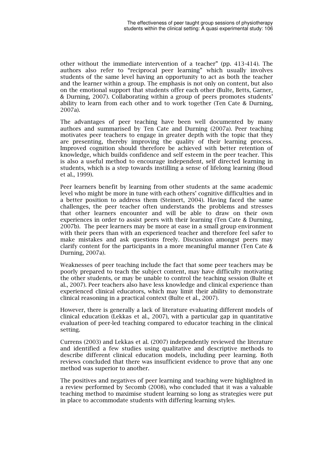other without the immediate intervention of a teacher" (pp. 413-414). The authors also refer to "reciprocal peer learning" which usually involves students of the same level having an opportunity to act as both the teacher and the learner within a group. The emphasis is not only on content, but also on the emotional support that students offer each other (Bulte, Betts, Garner, & Durning, 2007). Collaborating within a group of peers promotes students' ability to learn from each other and to work together (Ten Cate & Durning, 2007a).

The advantages of peer teaching have been well documented by many authors and summarised by Ten Cate and Durning (2007a). Peer teaching motivates peer teachers to engage in greater depth with the topic that they are presenting, thereby improving the quality of their learning process. Improved cognition should therefore be achieved with better retention of knowledge, which builds confidence and self esteem in the peer teacher. This is also a useful method to encourage independent, self directed learning in students, which is a step towards instilling a sense of lifelong learning (Boud et al., 1999).

Peer learners benefit by learning from other students at the same academic level who might be more in tune with each others' cognitive difficulties and in a better position to address them (Steinert, 2004). Having faced the same challenges, the peer teacher often understands the problems and stresses that other learners encounter and will be able to draw on their own experiences in order to assist peers with their learning (Ten Cate & Durning, 2007b). The peer learners may be more at ease in a small group environment with their peers than with an experienced teacher and therefore feel safer to make mistakes and ask questions freely. Discussion amongst peers may clarify content for the participants in a more meaningful manner (Ten Cate & Durning, 2007a).

Weaknesses of peer teaching include the fact that some peer teachers may be poorly prepared to teach the subject content, may have difficulty motivating the other students, or may be unable to control the teaching session (Bulte et al., 2007). Peer teachers also have less knowledge and clinical experience than experienced clinical educators, which may limit their ability to demonstrate clinical reasoning in a practical context (Bulte et al., 2007).

However, there is generally a lack of literature evaluating different models of clinical education (Lekkas et al., 2007), with a particular gap in quantitative evaluation of peer-led teaching compared to educator teaching in the clinical setting.

Currens (2003) and Lekkas et al. (2007) independently reviewed the literature and identified a few studies using qualitative and descriptive methods to describe different clinical education models, including peer learning. Both reviews concluded that there was insufficient evidence to prove that any one method was superior to another.

The positives and negatives of peer learning and teaching were highlighted in a review performed by Secomb (2008), who concluded that it was a valuable teaching method to maximise student learning so long as strategies were put in place to accommodate students with differing learning styles.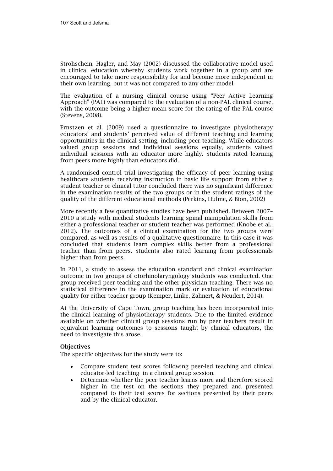Strohschein, Hagler, and May (2002) discussed the collaborative model used in clinical education whereby students work together in a group and are encouraged to take more responsibility for and become more independent in their own learning, but it was not compared to any other model.

The evaluation of a nursing clinical course using "Peer Active Learning Approach" (PAL) was compared to the evaluation of a non-PAL clinical course, with the outcome being a higher mean score for the rating of the PAL course (Stevens, 2008).

Ernstzen et al. (2009) used a questionnaire to investigate physiotherapy educators' and students' perceived value of different teaching and learning opportunities in the clinical setting, including peer teaching. While educators valued group sessions and individual sessions equally, students valued individual sessions with an educator more highly. Students rated learning from peers more highly than educators did.

A randomised control trial investigating the efficacy of peer learning using healthcare students receiving instruction in basic life support from either a student teacher or clinical tutor concluded there was no significant difference in the examination results of the two groups or in the student ratings of the quality of the different educational methods (Perkins, Hulme, & Bion, 2002)

More recently a few quantitative studies have been published. Between 2007– 2010 a study with medical students learning spinal manipulation skills from either a professional teacher or student teacher was performed (Knobe et al., 2012). The outcomes of a clinical examination for the two groups were compared, as well as results of a qualitative questionnaire. In this case it was concluded that students learn complex skills better from a professional teacher than from peers. Students also rated learning from professionals higher than from peers.

In 2011, a study to assess the education standard and clinical examination outcome in two groups of otorhinolaryngology students was conducted. One group received peer teaching and the other physician teaching. There was no statistical difference in the examination mark or evaluation of educational quality for either teacher group (Kemper, Linke, Zahnert, & Neudert, 2014).

At the University of Cape Town, group teaching has been incorporated into the clinical learning of physiotherapy students. Due to the limited evidence available on whether clinical group sessions run by peer teachers result in equivalent learning outcomes to sessions taught by clinical educators, the need to investigate this arose.

### **Objectives**

The specific objectives for the study were to:

- Compare student test scores following peer-led teaching and clinical educator-led teaching in a clinical group session.
- Determine whether the peer teacher learns more and therefore scored higher in the test on the sections they prepared and presented compared to their test scores for sections presented by their peers and by the clinical educator.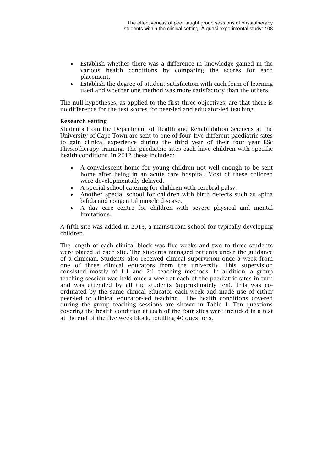- Establish whether there was a difference in knowledge gained in the various health conditions by comparing the scores for each placement.
- Establish the degree of student satisfaction with each form of learning used and whether one method was more satisfactory than the others.

The null hypotheses, as applied to the first three objectives, are that there is no difference for the test scores for peer-led and educator-led teaching.

#### Research setting

Students from the Department of Health and Rehabilitation Sciences at the University of Cape Town are sent to one of four–five different paediatric sites to gain clinical experience during the third year of their four year BSc Physiotherapy training. The paediatric sites each have children with specific health conditions. In 2012 these included:

- A convalescent home for young children not well enough to be sent home after being in an acute care hospital. Most of these children were developmentally delayed.
- A special school catering for children with cerebral palsy.
- Another special school for children with birth defects such as spina bifida and congenital muscle disease.
- A day care centre for children with severe physical and mental limitations.

A fifth site was added in 2013, a mainstream school for typically developing children.

The length of each clinical block was five weeks and two to three students were placed at each site. The students managed patients under the guidance of a clinician. Students also received clinical supervision once a week from one of three clinical educators from the university. This supervision consisted mostly of 1:1 and 2:1 teaching methods. In addition, a group teaching session was held once a week at each of the paediatric sites in turn and was attended by all the students (approximately ten). This was coordinated by the same clinical educator each week and made use of either peer-led or clinical educator-led teaching. The health conditions covered during the group teaching sessions are shown in Table 1. Ten questions covering the health condition at each of the four sites were included in a test at the end of the five week block, totalling 40 questions.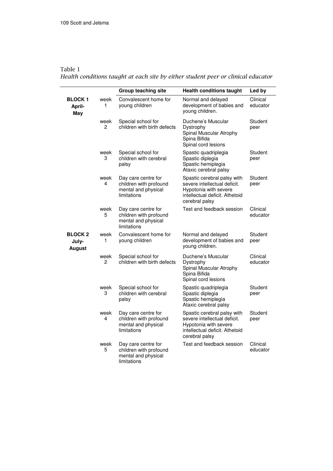Table 1 Health conditions taught at each site by either student peer or clinical educator

|                                          |                        | <b>Group teaching site</b>                                                          | <b>Health conditions taught</b>                                                                                                          | Led by               |
|------------------------------------------|------------------------|-------------------------------------------------------------------------------------|------------------------------------------------------------------------------------------------------------------------------------------|----------------------|
| <b>BLOCK 1</b><br>April-<br>May          | week<br>1              | Convalescent home for<br>young children                                             | Normal and delayed<br>development of babies and<br>voung children.                                                                       | Clinical<br>educator |
|                                          | week<br>$\overline{2}$ | Special school for<br>children with birth defects                                   | Duchene's Muscular<br>Dystrophy<br>Spinal Muscular Atrophy<br>Spina Bifida<br>Spinal cord lesions                                        | Student<br>peer      |
|                                          | week<br>3              | Special school for<br>children with cerebral<br>palsy                               | Spastic quadriplegia<br>Spastic diplegia<br>Spastic hemiplegia<br>Ataxic cerebral palsy                                                  | Student<br>peer      |
|                                          | week<br>4              | Day care centre for<br>children with profound<br>mental and physical<br>limitations | Spastic cerebral palsy with<br>severe intellectual deficit.<br>Hypotonia with severe<br>intellectual deficit. Athetoid<br>cerebral palsy | Student<br>peer      |
|                                          | week<br>5              | Day care centre for<br>children with profound<br>mental and physical<br>limitations | Test and feedback session                                                                                                                | Clinical<br>educator |
| <b>BLOCK 2</b><br>July-<br><b>August</b> | week<br>1              | Convalescent home for<br>young children                                             | Normal and delayed<br>development of babies and<br>young children.                                                                       | Student<br>peer      |
|                                          | week<br>2              | Special school for<br>children with birth defects                                   | Duchene's Muscular<br>Dystrophy<br>Spinal Muscular Atrophy<br>Spina Bifida<br>Spinal cord lesions                                        | Clinical<br>educator |
|                                          | week<br>3              | Special school for<br>children with cerebral<br>palsy                               | Spastic quadriplegia<br>Spastic diplegia<br>Spastic hemiplegia<br>Ataxic cerebral palsy                                                  | Student<br>peer      |
|                                          | week<br>4              | Day care centre for<br>children with profound<br>mental and physical<br>limitations | Spastic cerebral palsy with<br>severe intellectual deficit.<br>Hypotonia with severe<br>intellectual deficit. Athetoid<br>cerebral palsy | Student<br>peer      |
|                                          | week<br>5              | Day care centre for<br>children with profound<br>mental and physical<br>limitations | Test and feedback session                                                                                                                | Clinical<br>educator |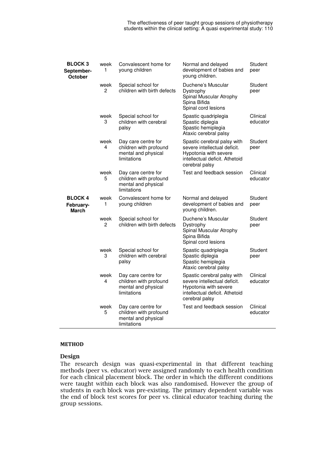The effectiveness of peer taught group sessions of physiotherapy students within the clinical setting: A quasi experimental study: 110

| <b>BLOCK3</b><br>September-<br>October | week<br>1 | Convalescent home for<br>young children                                             | Normal and delayed<br>development of babies and<br>young children.                                                                       | Student<br>peer      |
|----------------------------------------|-----------|-------------------------------------------------------------------------------------|------------------------------------------------------------------------------------------------------------------------------------------|----------------------|
|                                        | week<br>2 | Special school for<br>children with birth defects                                   | Duchene's Muscular<br>Dystrophy<br>Spinal Muscular Atrophy<br>Spina Bifida<br>Spinal cord lesions                                        | Student<br>peer      |
|                                        | week<br>3 | Special school for<br>children with cerebral<br>palsy                               | Spastic quadriplegia<br>Spastic diplegia<br>Spastic hemiplegia<br>Ataxic cerebral palsy                                                  | Clinical<br>educator |
|                                        | week<br>4 | Day care centre for<br>children with profound<br>mental and physical<br>limitations | Spastic cerebral palsy with<br>severe intellectual deficit.<br>Hypotonia with severe<br>intellectual deficit. Athetoid<br>cerebral palsy | Student<br>peer      |
|                                        | week<br>5 | Day care centre for<br>children with profound<br>mental and physical<br>limitations | Test and feedback session                                                                                                                | Clinical<br>educator |
| <b>BLOCK 4</b><br>February-<br>March   | week<br>1 | Convalescent home for<br>young children                                             | Normal and delayed<br>development of babies and<br>young children.                                                                       | Student<br>peer      |
|                                        | week<br>2 | Special school for<br>children with birth defects                                   | Duchene's Muscular<br>Dystrophy<br>Spinal Muscular Atrophy<br>Spina Bifida<br>Spinal cord lesions                                        | Student<br>peer      |
|                                        | week<br>3 | Special school for<br>children with cerebral<br>palsy                               | Spastic quadriplegia<br>Spastic diplegia<br>Spastic hemiplegia<br>Ataxic cerebral palsy                                                  | Student<br>peer      |
|                                        | week<br>4 | Day care centre for<br>children with profound<br>mental and physical<br>limitations | Spastic cerebral palsy with<br>severe intellectual deficit.<br>Hypotonia with severe<br>intellectual deficit. Athetoid<br>cerebral palsy | Clinical<br>educator |
|                                        | week<br>5 | Day care centre for<br>children with profound<br>mental and physical<br>limitations | Test and feedback session                                                                                                                | Clinical<br>educator |

#### **METHOD**

#### Design

The research design was quasi-experimental in that different teaching methods (peer vs. educator) were assigned randomly to each health condition for each clinical placement block. The order in which the different conditions were taught within each block was also randomised. However the group of students in each block was pre-existing. The primary dependent variable was the end of block test scores for peer vs. clinical educator teaching during the group sessions.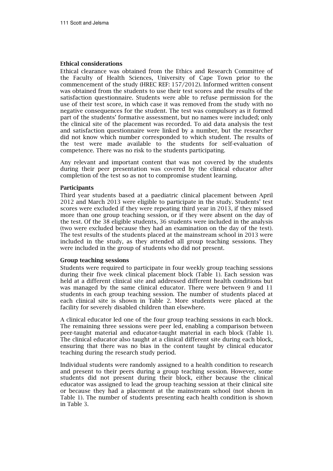#### Ethical considerations

Ethical clearance was obtained from the Ethics and Research Committee of the Faculty of Health Sciences, University of Cape Town prior to the commencement of the study (HREC REF: 157/2012). Informed written consent was obtained from the students to use their test scores and the results of the satisfaction questionnaire. Students were able to refuse permission for the use of their test score, in which case it was removed from the study with no negative consequences for the student. The test was compulsory as it formed part of the students' formative assessment, but no names were included; only the clinical site of the placement was recorded. To aid data analysis the test and satisfaction questionnaire were linked by a number, but the researcher did not know which number corresponded to which student. The results of the test were made available to the students for self-evaluation of competence. There was no risk to the students participating.

Any relevant and important content that was not covered by the students during their peer presentation was covered by the clinical educator after completion of the test so as not to compromise student learning.

#### Participants

Third year students based at a paediatric clinical placement between April 2012 and March 2013 were eligible to participate in the study. Students' test scores were excluded if they were repeating third year in 2013, if they missed more than one group teaching session, or if they were absent on the day of the test. Of the 38 eligible students, 36 students were included in the analysis (two were excluded because they had an examination on the day of the test). The test results of the students placed at the mainstream school in 2013 were included in the study, as they attended all group teaching sessions. They were included in the group of students who did not present.

#### Group teaching sessions

Students were required to participate in four weekly group teaching sessions during their five week clinical placement block (Table 1). Each session was held at a different clinical site and addressed different health conditions but was managed by the same clinical educator. There were between 9 and 11 students in each group teaching session. The number of students placed at each clinical site is shown in Table 2. More students were placed at the facility for severely disabled children than elsewhere.

A clinical educator led one of the four group teaching sessions in each block. The remaining three sessions were peer led, enabling a comparison between peer-taught material and educator-taught material in each block (Table 1). The clinical educator also taught at a clinical different site during each block, ensuring that there was no bias in the content taught by clinical educator teaching during the research study period.

Individual students were randomly assigned to a health condition to research and present to their peers during a group teaching session. However, some students did not present during their block, either because the clinical educator was assigned to lead the group teaching session at their clinical site or because they had a placement at the mainstream school (not shown in Table 1). The number of students presenting each health condition is shown in Table 3.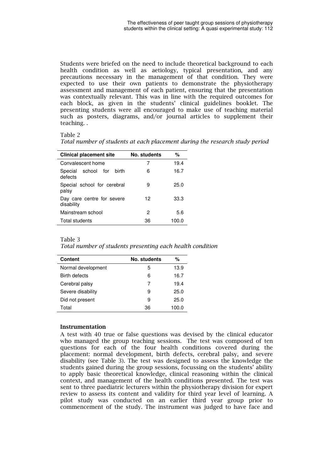Students were briefed on the need to include theoretical background to each health condition as well as aetiology, typical presentation, and any precautions necessary in the management of that condition. They were expected to use their own patients to demonstrate the physiotherapy assessment and management of each patient, ensuring that the presentation was contextually relevant. This was in line with the required outcomes for each block, as given in the students' clinical guidelines booklet. The presenting students were all encouraged to make use of teaching material such as posters, diagrams, and/or journal articles to supplement their teaching. .

#### Table 2

| <b>Clinical placement site</b>           | No. students | %     |
|------------------------------------------|--------------|-------|
| Convalescent home                        | 7            | 19.4  |
| Special school for<br>birth<br>defects   | 6            | 16.7  |
| Special school for cerebral<br>palsy     | 9            | 25.0  |
| Day care centre for severe<br>disability | 12           | 33.3  |
| Mainstream school                        | 2            | 5.6   |
| Total students                           | 36           | 100.0 |

#### Table 3

Total number of students presenting each health condition

| <b>Content</b>     | No. students | %     |  |
|--------------------|--------------|-------|--|
| Normal development | 5            | 13.9  |  |
| Birth defects      | 6            | 16.7  |  |
| Cerebral palsy     | 7            | 19.4  |  |
| Severe disability  | 9            | 25.0  |  |
| Did not present    | 9            | 25.0  |  |
| Total              | 36           | 100.0 |  |

#### Instrumentation

A test with 40 true or false questions was devised by the clinical educator who managed the group teaching sessions. The test was composed of ten questions for each of the four health conditions covered during the placement: normal development, birth defects, cerebral palsy, and severe disability (see Table 3). The test was designed to assess the knowledge the students gained during the group sessions, focussing on the students' ability to apply basic theoretical knowledge, clinical reasoning within the clinical context, and management of the health conditions presented. The test was sent to three paediatric lecturers within the physiotherapy division for expert review to assess its content and validity for third year level of learning. A pilot study was conducted on an earlier third year group prior to commencement of the study. The instrument was judged to have face and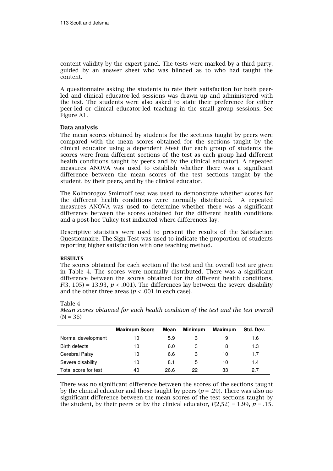content validity by the expert panel. The tests were marked by a third party, guided by an answer sheet who was blinded as to who had taught the content.

A questionnaire asking the students to rate their satisfaction for both peerled and clinical educator-led sessions was drawn up and administered with the test. The students were also asked to state their preference for either peer-led or clinical educator-led teaching in the small group sessions. See Figure A1.

#### Data analysis

The mean scores obtained by students for the sections taught by peers were compared with the mean scores obtained for the sections taught by the clinical educator using a dependent *t*-test (for each group of students the scores were from different sections of the test as each group had different health conditions taught by peers and by the clinical educator). A repeated measures ANOVA was used to establish whether there was a significant difference between the mean scores of the test sections taught by the student, by their peers, and by the clinical educator.

The Kolmorogov Smirnoff test was used to demonstrate whether scores for the different health conditions were normally distributed. A repeated measures ANOVA was used to determine whether there was a significant difference between the scores obtained for the different health conditions and a post-hoc Tukey test indicated where differences lay.

Descriptive statistics were used to present the results of the Satisfaction Questionnaire. The Sign Test was used to indicate the proportion of students reporting higher satisfaction with one teaching method.

#### RESULTS

The scores obtained for each section of the test and the overall test are given in Table 4. The scores were normally distributed. There was a significant difference between the scores obtained for the different health conditions,  $F(3, 105) = 13.93$ ,  $p < .001$ ). The differences lay between the severe disability and the other three areas ( $p < .001$  in each case).

Table 4

Mean scores obtained for each health condition of the test and the test overall  $(N = 36)$ 

|                      | <b>Maximum Score</b> | Mean | Minimum | <b>Maximum</b> | Std. Dev. |
|----------------------|----------------------|------|---------|----------------|-----------|
| Normal development   | 10                   | 5.9  | 3       |                | 1.6       |
| Birth defects        | 10                   | 6.0  | 3       | 8              | 1.3       |
| Cerebral Palsy       | 10                   | 6.6  | 3       | 10             | 1.7       |
| Severe disability    | 10                   | 8.1  | 5       | 10             | 1.4       |
| Total score for test | 40                   | 26.6 | 22      | 33             | 27        |

There was no significant difference between the scores of the sections taught by the clinical educator and those taught by peers ( $p = .29$ ). There was also no significant difference between the mean scores of the test sections taught by the student, by their peers or by the clinical educator,  $F(2,52) = 1.99$ ,  $p = .15$ .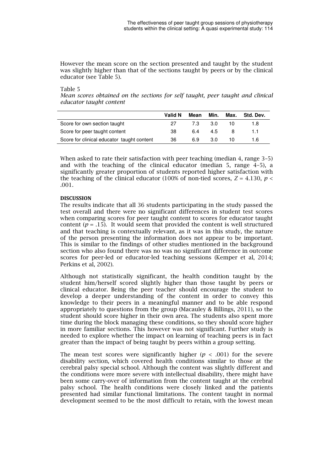However the mean score on the section presented and taught by the student was slightly higher than that of the sections taught by peers or by the clinical educator (see Table 5).

#### Table 5

Mean scores obtained on the sections for self taught, peer taught and clinical educator taught content

|                                            | Valid N | Mean | Min. | Max. | Std. Dev. |
|--------------------------------------------|---------|------|------|------|-----------|
| Score for own section taught               | 27      | 7.3  | -3.0 | 10   | 1.8       |
| Score for peer taught content              | 38      | 6.4  | 4.5  | -8   | 1.1       |
| Score for clinical educator taught content | 36      | 6.9  | 3.0  | 10   | 1.6       |

When asked to rate their satisfaction with peer teaching (median 4, range 3–5) and with the teaching of the clinical educator (median 5, range 4–5), a significantly greater proportion of students reported higher satisfaction with the teaching of the clinical educator (100% of non-tied scores,  $Z = 4.130$ ,  $p <$ .001.

#### **DISCUSSION**

The results indicate that all 36 students participating in the study passed the test overall and there were no significant differences in student test scores when comparing scores for peer taught content to scores for educator taught content ( $p = .15$ ). It would seem that provided the content is well structured and that teaching is contextually relevant, as it was in this study, the nature of the person presenting the information does not appear to be important. This is similar to the findings of other studies mentioned in the background section who also found there was no was no significant difference in outcome scores for peer-led or educator-led teaching sessions (Kemper et al, 2014; Perkins et al, 2002).

Although not statistically significant, the health condition taught by the student him/herself scored slightly higher than those taught by peers or clinical educator. Being the peer teacher should encourage the student to develop a deeper understanding of the content in order to convey this knowledge to their peers in a meaningful manner and to be able respond appropriately to questions from the group (Macauley & Billings, 2011), so the student should score higher in their own area. The students also spent more time during the block managing these conditions, so they should score higher in more familiar sections. This however was not significant. Further study is needed to explore whether the impact on learning of teaching peers is in fact greater than the impact of being taught by peers within a group setting.

The mean test scores were significantly higher ( $p < .001$ ) for the severe disability section, which covered health conditions similar to those at the cerebral palsy special school. Although the content was slightly different and the conditions were more severe with intellectual disability, there might have been some carry-over of information from the content taught at the cerebral palsy school. The health conditions were closely linked and the patients presented had similar functional limitations. The content taught in normal development seemed to be the most difficult to retain, with the lowest mean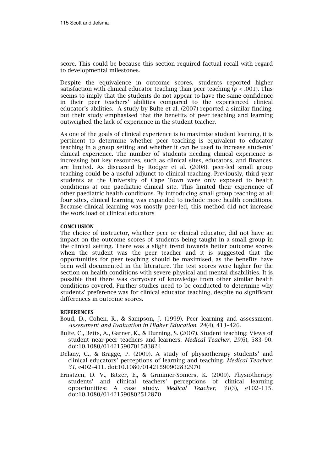score. This could be because this section required factual recall with regard to developmental milestones.

Despite the equivalence in outcome scores, students reported higher satisfaction with clinical educator teaching than peer teaching ( $p < .001$ ). This seems to imply that the students do not appear to have the same confidence in their peer teachers' abilities compared to the experienced clinical educator's abilities. A study by Bulte et al. (2007) reported a similar finding, but their study emphasised that the benefits of peer teaching and learning outweighed the lack of experience in the student teacher.

As one of the goals of clinical experience is to maximise student learning, it is pertinent to determine whether peer teaching is equivalent to educator teaching in a group setting and whether it can be used to increase students' clinical experience. The number of students needing clinical experience is increasing but key resources, such as clinical sites, educators, and finances, are limited. As discussed by Rodger et al. (2008), peer-led small group teaching could be a useful adjunct to clinical teaching. Previously, third year students at the University of Cape Town were only exposed to health conditions at one paediatric clinical site. This limited their experience of other paediatric health conditions. By introducing small group teaching at all four sites, clinical learning was expanded to include more health conditions. Because clinical learning was mostly peer-led, this method did not increase the work load of clinical educators

#### **CONCLUSION**

The choice of instructor, whether peer or clinical educator, did not have an impact on the outcome scores of students being taught in a small group in the clinical setting. There was a slight trend towards better outcome scores when the student was the peer teacher and it is suggested that the opportunities for peer teaching should be maximised, as the benefits have been well documented in the literature. The test scores were higher for the section on health conditions with severe physical and mental disabilities. It is possible that there was carryover of knowledge from other similar health conditions covered. Further studies need to be conducted to determine why students' preference was for clinical educator teaching, despite no significant differences in outcome scores.

#### **REFERENCES**

- Boud, D., Cohen, R., & Sampson, J. (1999). Peer learning and assessment. Assessment and Evaluation in Higher Education, 24(4), 413–426.
- Bulte, C., Betts, A., Garner, K., & Durning, S. (2007). Student teaching: Views of student near-peer teachers and learners. Medical Teacher, 29(6), 583–90. doi:10.1080/01421590701583824
- Delany, C., & Bragge, P. (2009). A study of physiotherapy students' and clinical educators' perceptions of learning and teaching. Medical Teacher, 31, e402–411. doi:10.1080/01421590902832970
- Ernstzen, D. V., Bitzer, E., & Grimmer-Somers, K. (2009). Physiotherapy students' and clinical teachers' perceptions of clinical learning opportunities: A case study. Medical Teacher, 31(3), e102–115. doi:10.1080/01421590802512870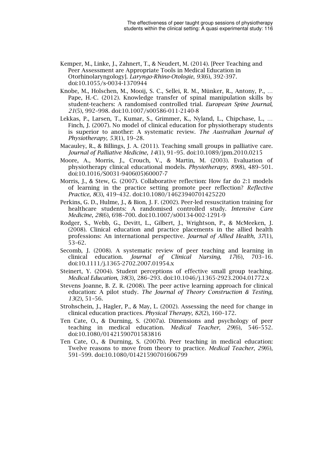- Kemper, M., Linke, J., Zahnert, T., & Neudert, M. (2014). [Peer Teaching and Peer Assessment are Appropriate Tools in Medical Education in Otorhinolaryngology]. Laryngo-Rhino-Otologie, 93(6), 392-397. doi:10.1055/s-0034-1370944
- Knobe, M., Holschen, M., Mooij, S. C., Sellei, R. M., Münker, R., Antony, P., … Pape, H.-C. (2012). Knowledge transfer of spinal manipulation skills by student-teachers: A randomised controlled trial. European Spine Journal, 21(5), 992–998. doi:10.1007/s00586-011-2140-8
- Lekkas, P., Larsen, T., Kumar, S., Grimmer, K., Nyland, L., Chipchase, L., … Finch, J. (2007). No model of clinical education for physiotherapy students is superior to another: A systematic review. The Australian Journal of Physiotherapy, 53(1), 19–28.
- Macauley, R., & Billings, J. A. (2011). Teaching small groups in palliative care. Journal of Palliative Medicine, 14(1), 91–95. doi:10.1089/jpm.2010.0215
- Moore, A., Morris, J., Crouch, V., & Martin, M. (2003). Evaluation of physiotherapy clinical educational models. Physiotherapy, 89(8), 489–501. doi:10.1016/S0031-9406(05)60007-7
- Morris, J., & Stew, G. (2007). Collaborative reflection: How far do 2:1 models of learning in the practice setting promote peer reflection? Reflective Practice, 8(3), 419–432. doi:10.1080/14623940701425220
- Perkins, G. D., Hulme, J., & Bion, J. F. (2002). Peer-led resuscitation training for healthcare students: A randomised controlled study. Intensive Care Medicine, 28(6), 698–700. doi:10.1007/s00134-002-1291-9
- Rodger, S., Webb, G., Devitt, L., Gilbert, J., Wrightson, P., & McMeeken, J. (2008). Clinical education and practice placements in the allied health professions: An international perspective. Journal of Allied Health, 37(1), 53–62.
- Secomb, J. (2008). A systematic review of peer teaching and learning in clinical education. Journal of Clinical Nursing, 17(6), 703–16. doi:10.1111/j.1365-2702.2007.01954.x
- Steinert, Y. (2004). Student perceptions of effective small group teaching. Medical Education, 38(3), 286–293. doi:10.1046/j.1365-2923.2004.01772.x
- Stevens Joanne, B. Z. R. (2008). The peer active learning approach for clinical education: A pilot study. The Journal of Theory Construction & Testing, 13(2), 51–56.
- Strohschein, J., Hagler, P., & May, L. (2002). Assessing the need for change in clinical education practices. Physical Therapy, 82(2), 160–172.
- Ten Cate, O., & Durning, S. (2007a). Dimensions and psychology of peer teaching in medical education. Medical Teacher, 29(6), 546–552. doi:10.1080/01421590701583816
- Ten Cate, O., & Durning, S. (2007b). Peer teaching in medical education: Twelve reasons to move from theory to practice. *Medical Teacher, 29*(6), 591–599. doi:10.1080/01421590701606799